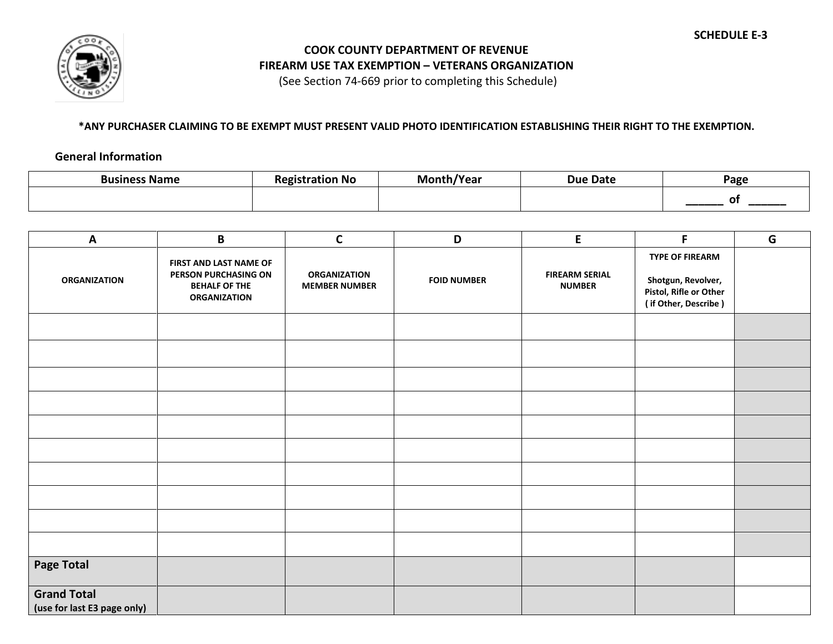

## **COOK COUNTY DEPARTMENT OF REVENUE FIREARM USE TAX EXEMPTION – VETERANS ORGANIZATION**

(See Section 74-669 prior to completing this Schedule)

## **\*ANY PURCHASER CLAIMING TO BE EXEMPT MUST PRESENT VALID PHOTO IDENTIFICATION ESTABLISHING THEIR RIGHT TO THE EXEMPTION.**

## **General Information**

| Business Name | *ration No | √Year | <b>Due Date</b> | Page |  |
|---------------|------------|-------|-----------------|------|--|
|               |            |       |                 |      |  |

| A                                                 | $\mathbf B$                                                                                   | $\mathsf{C}$                                | D                  | E                                      | F                                                                                              | G |
|---------------------------------------------------|-----------------------------------------------------------------------------------------------|---------------------------------------------|--------------------|----------------------------------------|------------------------------------------------------------------------------------------------|---|
| <b>ORGANIZATION</b>                               | FIRST AND LAST NAME OF<br>PERSON PURCHASING ON<br><b>BEHALF OF THE</b><br><b>ORGANIZATION</b> | <b>ORGANIZATION</b><br><b>MEMBER NUMBER</b> | <b>FOID NUMBER</b> | <b>FIREARM SERIAL</b><br><b>NUMBER</b> | <b>TYPE OF FIREARM</b><br>Shotgun, Revolver,<br>Pistol, Rifle or Other<br>(if Other, Describe) |   |
|                                                   |                                                                                               |                                             |                    |                                        |                                                                                                |   |
|                                                   |                                                                                               |                                             |                    |                                        |                                                                                                |   |
|                                                   |                                                                                               |                                             |                    |                                        |                                                                                                |   |
|                                                   |                                                                                               |                                             |                    |                                        |                                                                                                |   |
|                                                   |                                                                                               |                                             |                    |                                        |                                                                                                |   |
|                                                   |                                                                                               |                                             |                    |                                        |                                                                                                |   |
|                                                   |                                                                                               |                                             |                    |                                        |                                                                                                |   |
|                                                   |                                                                                               |                                             |                    |                                        |                                                                                                |   |
|                                                   |                                                                                               |                                             |                    |                                        |                                                                                                |   |
|                                                   |                                                                                               |                                             |                    |                                        |                                                                                                |   |
| <b>Page Total</b>                                 |                                                                                               |                                             |                    |                                        |                                                                                                |   |
| <b>Grand Total</b><br>(use for last E3 page only) |                                                                                               |                                             |                    |                                        |                                                                                                |   |